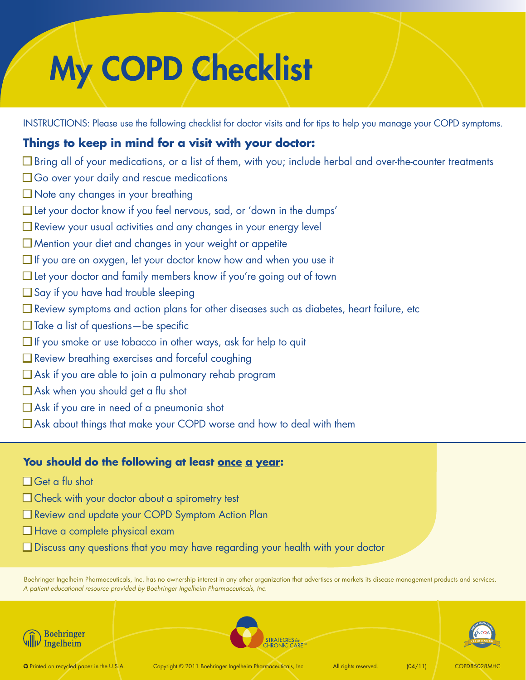# My COPD Checklist

INSTRUCTIONS: Please use the following checklist for doctor visits and for tips to help you manage your COPD symptoms.

# **Things to keep in mind for a visit with your doctor:**

- $\Box$  Bring all of your medications, or a list of them, with you; include herbal and over-the-counter treatments
- $\Box$  Go over your daily and rescue medications
- $\square$  Note any changes in your breathing
- $\Box$  Let your doctor know if you feel nervous, sad, or 'down in the dumps'
- $\Box$  Review your usual activities and any changes in your energy level
- $\Box$  Mention your diet and changes in your weight or appetite
- $\Box$  If you are on oxygen, let your doctor know how and when you use it
- $\Box$  Let your doctor and family members know if you're going out of town
- $\square$  Say if you have had trouble sleeping
- $\Box$  Review symptoms and action plans for other diseases such as diabetes, heart failure, etc
- $\Box$  Take a list of questions—be specific
- $\Box$  If you smoke or use tobacco in other ways, ask for help to quit
- $\Box$  Review breathing exercises and forceful coughing
- $\square$  Ask if you are able to join a pulmonary rehab program
- $\Box$  Ask when you should get a flu shot
- $\Box$  Ask if you are in need of a pneumonia shot
- $\Box$  Ask about things that make your COPD worse and how to deal with them

## **You should do the following at least once a year:**

- $\Box$  Get a flu shot
- $\Box$  Check with your doctor about a spirometry test
- □ Review and update your COPD Symptom Action Plan
- $\Box$  Have a complete physical exam
- $\square$  Discuss any questions that you may have regarding your health with your doctor

Boehringer Ingelheim Pharmaceuticals, Inc. has no ownership interest in any other organization that advertises or markets its disease management products and services. *A patient educational resource provided by Boehringer Ingelheim Pharmaceuticals, Inc.*